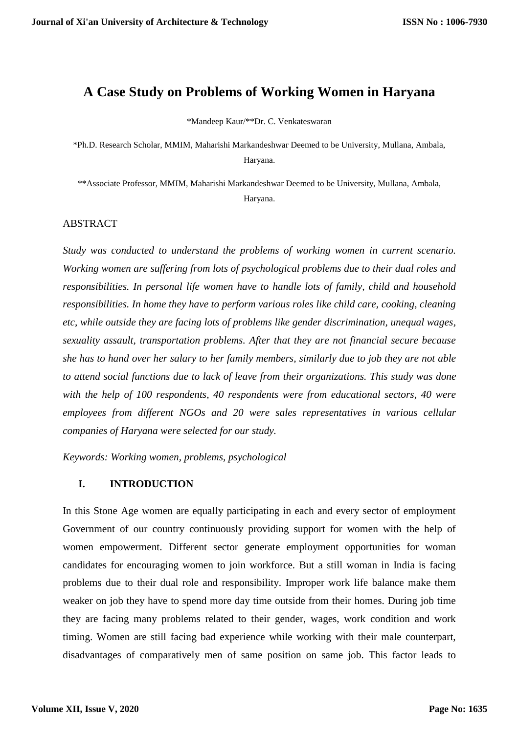# **A Case Study on Problems of Working Women in Haryana**

\*Mandeep Kaur/\*\*Dr. C. Venkateswaran

\*Ph.D. Research Scholar, MMIM, Maharishi Markandeshwar Deemed to be University, Mullana, Ambala, Haryana.

\*\*Associate Professor, MMIM, Maharishi Markandeshwar Deemed to be University, Mullana, Ambala, Haryana.

#### ABSTRACT

*Study was conducted to understand the problems of working women in current scenario. Working women are suffering from lots of psychological problems due to their dual roles and responsibilities. In personal life women have to handle lots of family, child and household responsibilities. In home they have to perform various roles like child care, cooking, cleaning etc, while outside they are facing lots of problems like gender discrimination, unequal wages, sexuality assault, transportation problems. After that they are not financial secure because she has to hand over her salary to her family members, similarly due to job they are not able to attend social functions due to lack of leave from their organizations. This study was done with the help of 100 respondents, 40 respondents were from educational sectors, 40 were employees from different NGOs and 20 were sales representatives in various cellular companies of Haryana were selected for our study.* 

*Keywords: Working women, problems, psychological*

#### **I. INTRODUCTION**

In this Stone Age women are equally participating in each and every sector of employment Government of our country continuously providing support for women with the help of women empowerment. Different sector generate employment opportunities for woman candidates for encouraging women to join workforce. But a still woman in India is facing problems due to their dual role and responsibility. Improper work life balance make them weaker on job they have to spend more day time outside from their homes. During job time they are facing many problems related to their gender, wages, work condition and work timing. Women are still facing bad experience while working with their male counterpart, disadvantages of comparatively men of same position on same job. This factor leads to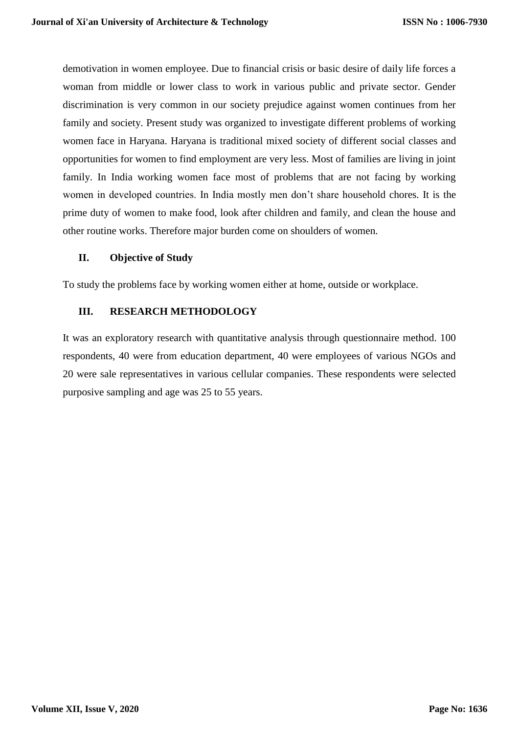demotivation in women employee. Due to financial crisis or basic desire of daily life forces a woman from middle or lower class to work in various public and private sector. Gender discrimination is very common in our society prejudice against women continues from her family and society. Present study was organized to investigate different problems of working women face in Haryana. Haryana is traditional mixed society of different social classes and opportunities for women to find employment are very less. Most of families are living in joint family. In India working women face most of problems that are not facing by working women in developed countries. In India mostly men don't share household chores. It is the prime duty of women to make food, look after children and family, and clean the house and other routine works. Therefore major burden come on shoulders of women.

### **II. Objective of Study**

To study the problems face by working women either at home, outside or workplace.

### **III. RESEARCH METHODOLOGY**

It was an exploratory research with quantitative analysis through questionnaire method. 100 respondents, 40 were from education department, 40 were employees of various NGOs and 20 were sale representatives in various cellular companies. These respondents were selected purposive sampling and age was 25 to 55 years.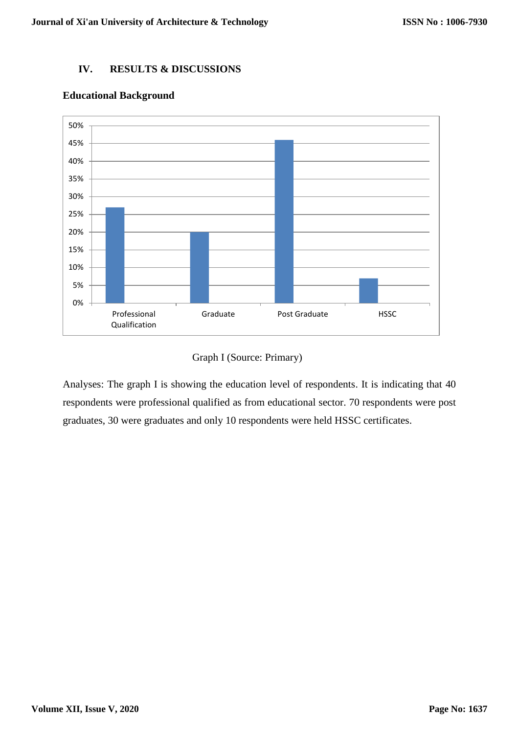## **IV. RESULTS & DISCUSSIONS**



## **Educational Background**

## Graph I (Source: Primary)

Analyses: The graph I is showing the education level of respondents. It is indicating that 40 respondents were professional qualified as from educational sector. 70 respondents were post graduates, 30 were graduates and only 10 respondents were held HSSC certificates.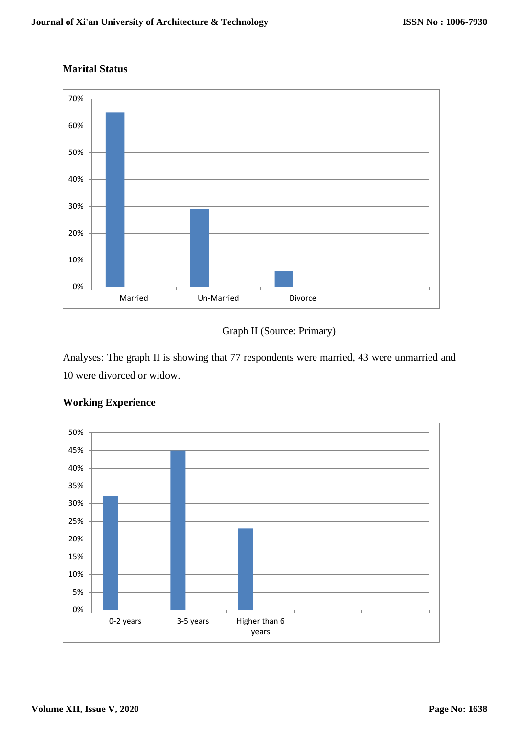## **Marital Status**



# Graph II (Source: Primary)

Analyses: The graph II is showing that 77 respondents were married, 43 were unmarried and 10 were divorced or widow.



## **Working Experience**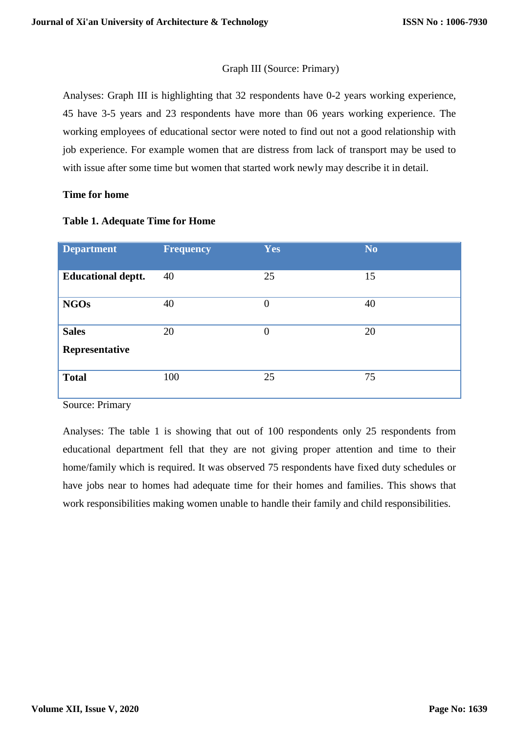## Graph III (Source: Primary)

Analyses: Graph III is highlighting that 32 respondents have 0-2 years working experience, 45 have 3-5 years and 23 respondents have more than 06 years working experience. The working employees of educational sector were noted to find out not a good relationship with job experience. For example women that are distress from lack of transport may be used to with issue after some time but women that started work newly may describe it in detail.

#### **Time for home**

| <b>Department</b>              | <b>Frequency</b> | <b>Yes</b> | No. |
|--------------------------------|------------------|------------|-----|
| <b>Educational deptt.</b>      | 40               | 25         | 15  |
| <b>NGOs</b>                    | 40               | $\theta$   | 40  |
| <b>Sales</b><br>Representative | 20               | $\theta$   | 20  |
| <b>Total</b>                   | 100              | 25         | 75  |

#### **Table 1. Adequate Time for Home**

Source: Primary

Analyses: The table 1 is showing that out of 100 respondents only 25 respondents from educational department fell that they are not giving proper attention and time to their home/family which is required. It was observed 75 respondents have fixed duty schedules or have jobs near to homes had adequate time for their homes and families. This shows that work responsibilities making women unable to handle their family and child responsibilities.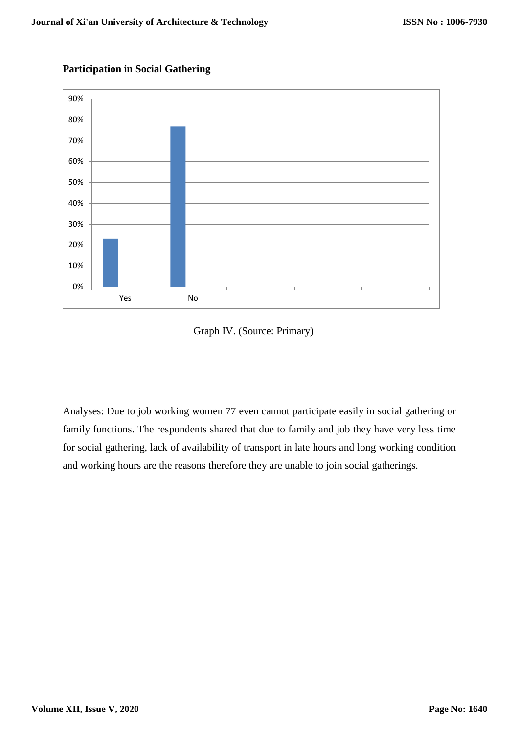

## **Participation in Social Gathering**



Analyses: Due to job working women 77 even cannot participate easily in social gathering or family functions. The respondents shared that due to family and job they have very less time for social gathering, lack of availability of transport in late hours and long working condition and working hours are the reasons therefore they are unable to join social gatherings.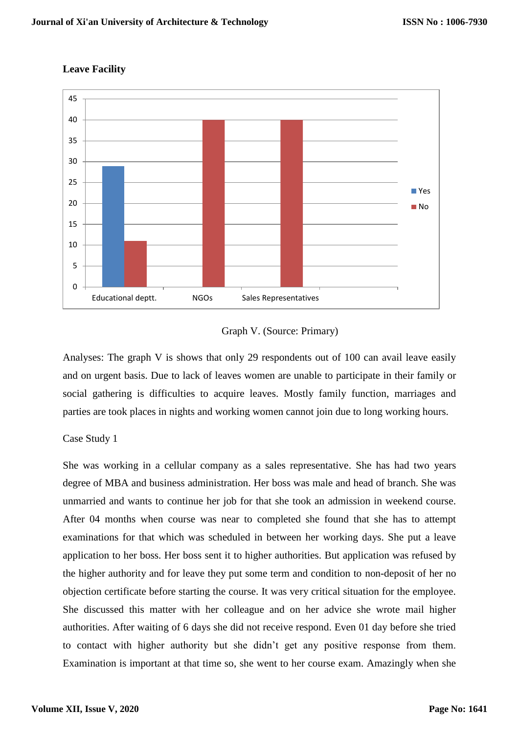

### **Leave Facility**



Analyses: The graph V is shows that only 29 respondents out of 100 can avail leave easily and on urgent basis. Due to lack of leaves women are unable to participate in their family or social gathering is difficulties to acquire leaves. Mostly family function, marriages and parties are took places in nights and working women cannot join due to long working hours.

#### Case Study 1

She was working in a cellular company as a sales representative. She has had two years degree of MBA and business administration. Her boss was male and head of branch. She was unmarried and wants to continue her job for that she took an admission in weekend course. After 04 months when course was near to completed she found that she has to attempt examinations for that which was scheduled in between her working days. She put a leave application to her boss. Her boss sent it to higher authorities. But application was refused by the higher authority and for leave they put some term and condition to non-deposit of her no objection certificate before starting the course. It was very critical situation for the employee. She discussed this matter with her colleague and on her advice she wrote mail higher authorities. After waiting of 6 days she did not receive respond. Even 01 day before she tried to contact with higher authority but she didn't get any positive response from them. Examination is important at that time so, she went to her course exam. Amazingly when she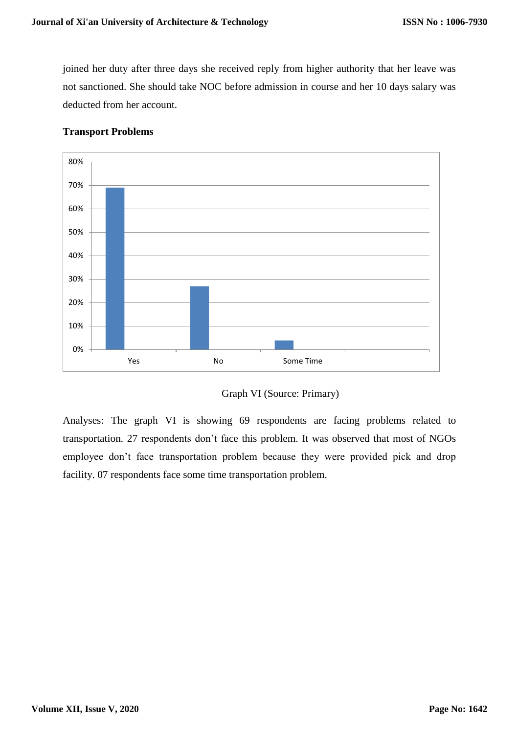joined her duty after three days she received reply from higher authority that her leave was not sanctioned. She should take NOC before admission in course and her 10 days salary was deducted from her account.



## **Transport Problems**



Analyses: The graph VI is showing 69 respondents are facing problems related to transportation. 27 respondents don't face this problem. It was observed that most of NGOs employee don't face transportation problem because they were provided pick and drop facility. 07 respondents face some time transportation problem.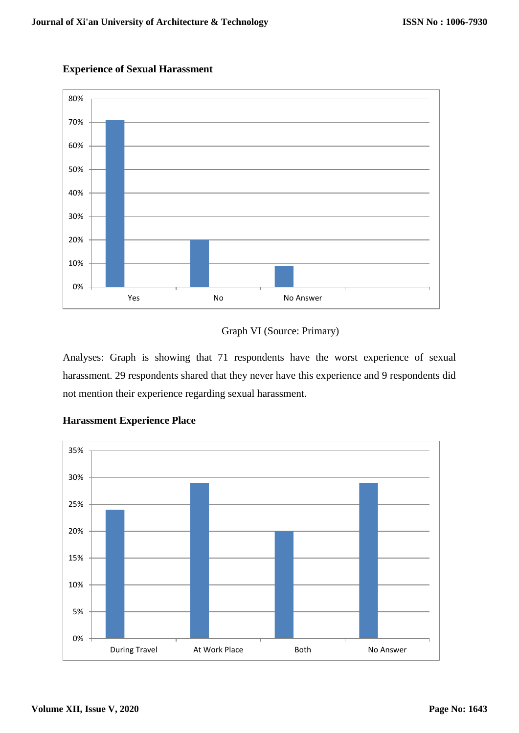

## **Experience of Sexual Harassment**



Analyses: Graph is showing that 71 respondents have the worst experience of sexual harassment. 29 respondents shared that they never have this experience and 9 respondents did not mention their experience regarding sexual harassment.



## **Harassment Experience Place**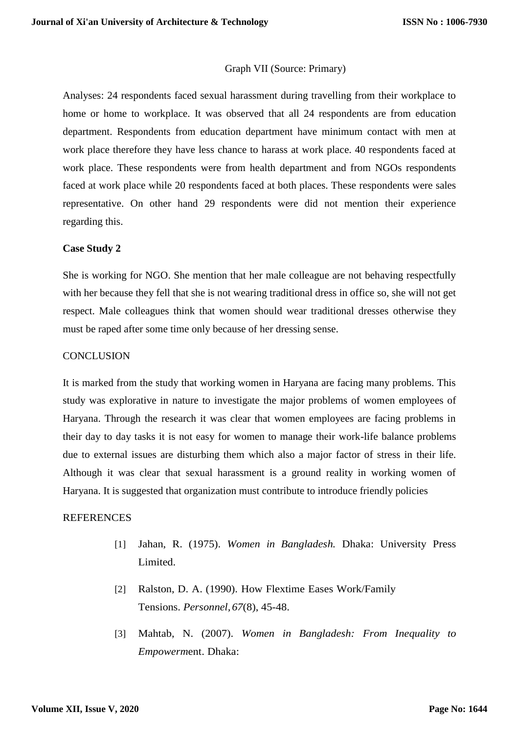#### Graph VII (Source: Primary)

Analyses: 24 respondents faced sexual harassment during travelling from their workplace to home or home to workplace. It was observed that all 24 respondents are from education department. Respondents from education department have minimum contact with men at work place therefore they have less chance to harass at work place. 40 respondents faced at work place. These respondents were from health department and from NGOs respondents faced at work place while 20 respondents faced at both places. These respondents were sales representative. On other hand 29 respondents were did not mention their experience regarding this.

#### **Case Study 2**

She is working for NGO. She mention that her male colleague are not behaving respectfully with her because they fell that she is not wearing traditional dress in office so, she will not get respect. Male colleagues think that women should wear traditional dresses otherwise they must be raped after some time only because of her dressing sense.

#### **CONCLUSION**

It is marked from the study that working women in Haryana are facing many problems. This study was explorative in nature to investigate the major problems of women employees of Haryana. Through the research it was clear that women employees are facing problems in their day to day tasks it is not easy for women to manage their work-life balance problems due to external issues are disturbing them which also a major factor of stress in their life. Although it was clear that sexual harassment is a ground reality in working women of Haryana. It is suggested that organization must contribute to introduce friendly policies

#### **REFERENCES**

- [1] Jahan, R. (1975). *Women in Bangladesh.* Dhaka: University Press Limited.
- [2] Ralston, D. A. (1990). How Flextime Eases Work/Family Tensions. *Personnel,67*(8), 45-48.
- [3] Mahtab, N. (2007). *Women in Bangladesh: From Inequality to Empowerm*ent. Dhaka: